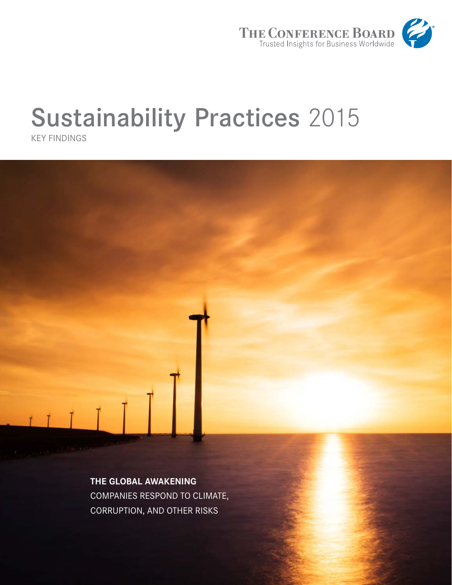

# Sustainability Practices 2015

KEY FINDINGS



**THE GLOBAL AWAKENING**  COMPANIES RESPOND TO CLIMATE, CORRUPTION, AND OTHER RISKS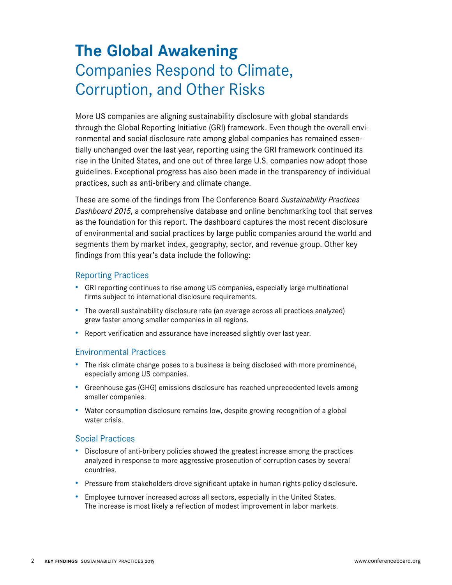# **The Global Awakening**  Companies Respond to Climate, Corruption, and Other Risks

More US companies are aligning sustainability disclosure with global standards through the Global Reporting Initiative (GRI) framework. Even though the overall environmental and social disclosure rate among global companies has remained essentially unchanged over the last year, reporting using the GRI framework continued its rise in the United States, and one out of three large U.S. companies now adopt those guidelines. Exceptional progress has also been made in the transparency of individual practices, such as anti-bribery and climate change.

These are some of the findings from The Conference Board *Sustainability Practices Dashboard 2015*, a comprehensive database and online benchmarking tool that serves as the foundation for this report. The dashboard captures the most recent disclosure of environmental and social practices by large public companies around the world and segments them by market index, geography, sector, and revenue group. Other key findings from this year's data include the following:

### Reporting Practices

- GRI reporting continues to rise among US companies, especially large multinational firms subject to international disclosure requirements.
- The overall sustainability disclosure rate (an average across all practices analyzed) grew faster among smaller companies in all regions.
- Report verification and assurance have increased slightly over last year.

### Environmental Practices

- The risk climate change poses to a business is being disclosed with more prominence, especially among US companies.
- Greenhouse gas (GHG) emissions disclosure has reached unprecedented levels among smaller companies.
- Water consumption disclosure remains low, despite growing recognition of a global water crisis.

### Social Practices

- Disclosure of anti-bribery policies showed the greatest increase among the practices analyzed in response to more aggressive prosecution of corruption cases by several countries.
- Pressure from stakeholders drove significant uptake in human rights policy disclosure.
- Employee turnover increased across all sectors, especially in the United States. The increase is most likely a reflection of modest improvement in labor markets.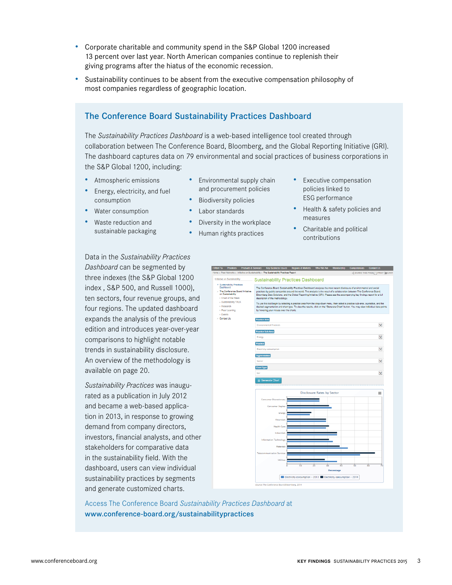- Corporate charitable and community spend in the S&P Global 1200 increased 13 percent over last year. North American companies continue to replenish their giving programs after the hiatus of the economic recession.
- Sustainability continues to be absent from the executive compensation philosophy of most companies regardless of geographic location.

# The Conference Board Sustainability Practices Dashboard

The *Sustainability Practices Dashboard* is a web-based intelligence tool created through collaboration between The Conference Board, Bloomberg, and the Global Reporting Initiative (GRI). The dashboard captures data on 79 environmental and social practices of business corporations in the S&P Global 1200, including:

- Atmospheric emissions
- Energy, electricity, and fuel consumption
- Water consumption
- Waste reduction and sustainable packaging
- Environmental supply chain and procurement policies
- Biodiversity policies
- Labor standards
- Diversity in the workplace
- Human rights practices
- Executive compensation policies linked to ESG performance
- Health & safety policies and measures
- Charitable and political contributions

Data in the *Sustainability Practices Dashboard* can be segmented by three indexes (the S&P Global 1200 index , S&P 500, and Russell 1000), ten sectors, four revenue groups, and four regions. The updated dashboard expands the analysis of the previous edition and introduces year-over-year comparisons to highlight notable trends in sustainability disclosure. An overview of the methodology is available on page 20.

*Sustainability Practices* was inaugurated as a publication in July 2012 and became a web-based application in 2013, in response to growing demand from company directors, investors, financial analysts, and other stakeholders for comparative data in the sustainability field. With the dashboard, users can view individual sustainability practices by segments and generate customized charts.



Access The Conference Board *Sustainability Practices Dashboard* at www.conference-board.org/sustainabilitypractices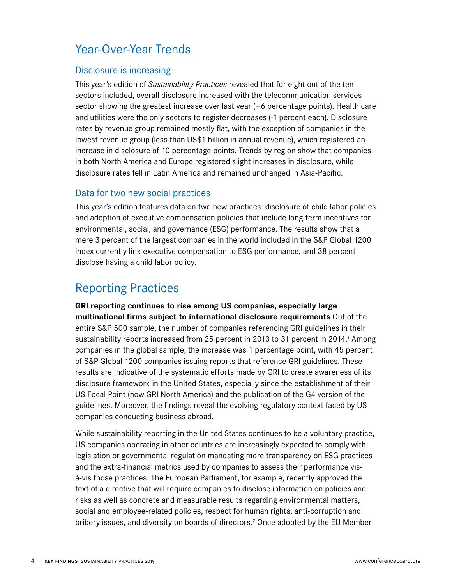# Year-Over-Year Trends

# Disclosure is increasing

This year's edition of *Sustainability Practices* revealed that for eight out of the ten sectors included, overall disclosure increased with the telecommunication services sector showing the greatest increase over last year (+6 percentage points). Health care and utilities were the only sectors to register decreases (-1 percent each). Disclosure rates by revenue group remained mostly flat, with the exception of companies in the lowest revenue group (less than US\$1 billion in annual revenue), which registered an increase in disclosure of 10 percentage points. Trends by region show that companies in both North America and Europe registered slight increases in disclosure, while disclosure rates fell in Latin America and remained unchanged in Asia-Pacific.

# Data for two new social practices

This year's edition features data on two new practices: disclosure of child labor policies and adoption of executive compensation policies that include long-term incentives for environmental, social, and governance (ESG) performance. The results show that a mere 3 percent of the largest companies in the world included in the S&P Global 1200 index currently link executive compensation to ESG performance, and 38 percent disclose having a child labor policy.

# Reporting Practices

**GRI reporting continues to rise among US companies, especially large multinational firms subject to international disclosure requirements** Out of the entire S&P 500 sample, the number of companies referencing GRI guidelines in their sustainability reports increased from 25 percent in 2013 to 31 percent in 2014.<sup>1</sup> Among companies in the global sample, the increase was 1 percentage point, with 45 percent of S&P Global 1200 companies issuing reports that reference GRI guidelines. These results are indicative of the systematic efforts made by GRI to create awareness of its disclosure framework in the United States, especially since the establishment of their US Focal Point (now GRI North America) and the publication of the G4 version of the guidelines. Moreover, the findings reveal the evolving regulatory context faced by US companies conducting business abroad.

While sustainability reporting in the United States continues to be a voluntary practice, US companies operating in other countries are increasingly expected to comply with legislation or governmental regulation mandating more transparency on ESG practices and the extra-financial metrics used by companies to assess their performance visà-vis those practices. The European Parliament, for example, recently approved the text of a directive that will require companies to disclose information on policies and risks as well as concrete and measurable results regarding environmental matters, social and employee-related policies, respect for human rights, anti-corruption and bribery issues, and diversity on boards of directors.<sup>2</sup> Once adopted by the EU Member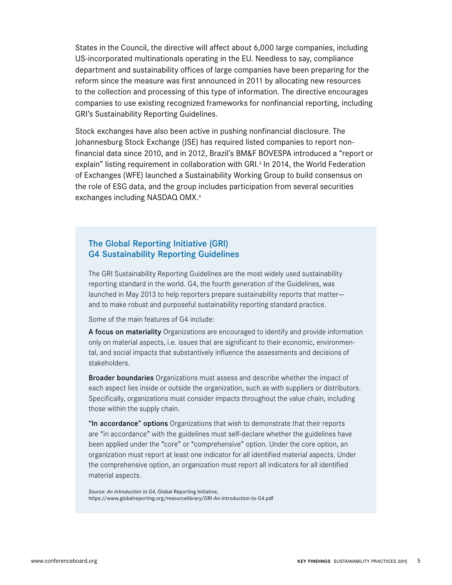States in the Council, the directive will affect about 6,000 large companies, including US-incorporated multinationals operating in the EU. Needless to say, compliance department and sustainability offices of large companies have been preparing for the reform since the measure was first announced in 2011 by allocating new resources to the collection and processing of this type of information. The directive encourages companies to use existing recognized frameworks for nonfinancial reporting, including GRI's Sustainability Reporting Guidelines.

Stock exchanges have also been active in pushing nonfinancial disclosure. The Johannesburg Stock Exchange (JSE) has required listed companies to report nonfinancial data since 2010, and in 2012, Brazil's BM&F BOVESPA introduced a "report or explain" listing requirement in collaboration with GRI.<sup>3</sup> In 2014, the World Federation of Exchanges (WFE) launched a Sustainability Working Group to build consensus on the role of ESG data, and the group includes participation from several securities exchanges including NASDAQ OMX.4

# The Global Reporting Initiative (GRI) G4 Sustainability Reporting Guidelines

The GRI Sustainability Reporting Guidelines are the most widely used sustainability reporting standard in the world. G4, the fourth generation of the Guidelines, was launched in May 2013 to help reporters prepare sustainability reports that matter and to make robust and purposeful sustainability reporting standard practice.

Some of the main features of G4 include:

A focus on materiality Organizations are encouraged to identify and provide information only on material aspects, i.e. issues that are significant to their economic, environmental, and social impacts that substantively influence the assessments and decisions of stakeholders.

Broader boundaries Organizations must assess and describe whether the impact of each aspect lies inside or outside the organization, such as with suppliers or distributors. Specifically, organizations must consider impacts throughout the value chain, including those within the supply chain.

"In accordance" options Organizations that wish to demonstrate that their reports are "in accordance" with the guidelines must self-declare whether the guidelines have been applied under the "core" or "comprehensive" option. Under the core option, an organization must report at least one indicator for all identified material aspects. Under the comprehensive option, an organization must report all indicators for all identified material aspects.

*Source: An Introduction to G4*, Global Reporting Initiative, https://www.globalreporting.org/resourcelibrary/GRI-An-introduction-to-G4.pdf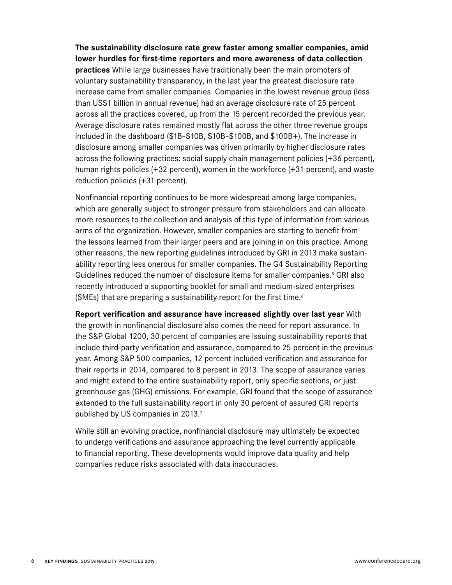**The sustainability disclosure rate grew faster among smaller companies, amid lower hurdles for first-time reporters and more awareness of data collection practices** While large businesses have traditionally been the main promoters of voluntary sustainability transparency, in the last year the greatest disclosure rate increase came from smaller companies. Companies in the lowest revenue group (less than US\$1 billion in annual revenue) had an average disclosure rate of 25 percent across all the practices covered, up from the 15 percent recorded the previous year. Average disclosure rates remained mostly flat across the other three revenue groups included in the dashboard (\$1B–\$10B, \$10B–\$100B, and \$100B+). The increase in disclosure among smaller companies was driven primarily by higher disclosure rates across the following practices: social supply chain management policies (+36 percent), human rights policies (+32 percent), women in the workforce (+31 percent), and waste reduction policies (+31 percent).

Nonfinancial reporting continues to be more widespread among large companies, which are generally subject to stronger pressure from stakeholders and can allocate more resources to the collection and analysis of this type of information from various arms of the organization. However, smaller companies are starting to benefit from the lessons learned from their larger peers and are joining in on this practice. Among other reasons, the new reporting guidelines introduced by GRI in 2013 make sustainability reporting less onerous for smaller companies. The G4 Sustainability Reporting Guidelines reduced the number of disclosure items for smaller companies.<sup>5</sup> GRI also recently introduced a supporting booklet for small and medium-sized enterprises (SMEs) that are preparing a sustainability report for the first time.<sup>6</sup>

**Report verification and assurance have increased slightly over last year** With the growth in nonfinancial disclosure also comes the need for report assurance. In the S&P Global 1200, 30 percent of companies are issuing sustainability reports that include third-party verification and assurance, compared to 25 percent in the previous year. Among S&P 500 companies, 12 percent included verification and assurance for their reports in 2014, compared to 8 percent in 2013. The scope of assurance varies and might extend to the entire sustainability report, only specific sections, or just greenhouse gas (GHG) emissions. For example, GRI found that the scope of assurance extended to the full sustainability report in only 30 percent of assured GRI reports published by US companies in 2013.7

While still an evolving practice, nonfinancial disclosure may ultimately be expected to undergo verifications and assurance approaching the level currently applicable to financial reporting. These developments would improve data quality and help companies reduce risks associated with data inaccuracies.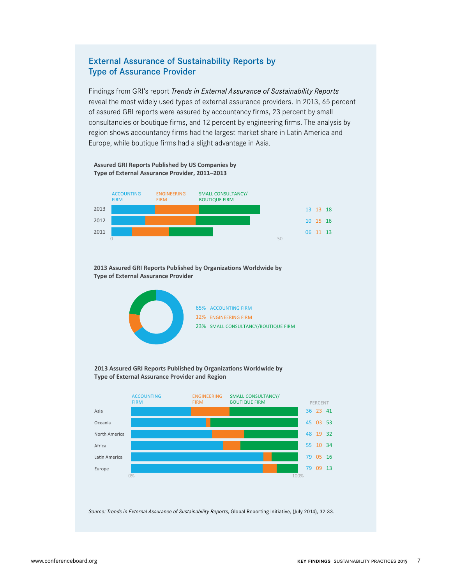### External Assurance of Sustainability Reports by Type of Assurance Provider

Findings from GRI's report *Trends in External Assurance of Sustainability Reports* reveal the most widely used types of external assurance providers. In 2013, 65 percent of assured GRI reports were assured by accountancy firms, 23 percent by small consultancies or boutique firms, and 12 percent by engineering firms. The analysis by region shows accountancy firms had the largest market share in Latin America and Europe, while boutique firms had a slight advantage in Asia.

#### **Assured GRI Reports Published by US Companies by Type of External Assurance Provider, 2011–2013**



2013 Assured GRI Reports Published by Organizations Worldwide by **Type of External Assurance Provider**



#### 2013 Assured GRI Reports Published by Organizations Worldwide by **Type of External Assurance Provider and Region**



*Source: Trends in External Assurance of Sustainability Reports*, Global Reporting Initiative, (July 2014), 32-33.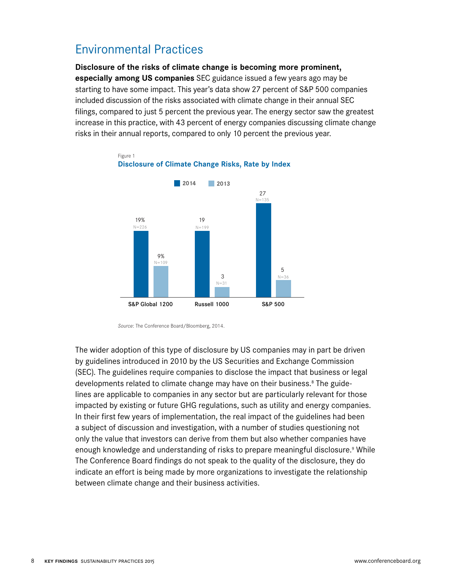# Environmental Practices

**Disclosure of the risks of climate change is becoming more prominent, especially among US companies** SEC guidance issued a few years ago may be starting to have some impact. This year's data show 27 percent of S&P 500 companies included discussion of the risks associated with climate change in their annual SEC filings, compared to just 5 percent the previous year. The energy sector saw the greatest increase in this practice, with 43 percent of energy companies discussing climate change risks in their annual reports, compared to only 10 percent the previous year.



Figure 1 **Disclosure of Climate Change Risks, Rate by Index**

The wider adoption of this type of disclosure by US companies may in part be driven by guidelines introduced in 2010 by the US Securities and Exchange Commission (SEC). The guidelines require companies to disclose the impact that business or legal developments related to climate change may have on their business.<sup>8</sup> The guidelines are applicable to companies in any sector but are particularly relevant for those impacted by existing or future GHG regulations, such as utility and energy companies. In their first few years of implementation, the real impact of the guidelines had been a subject of discussion and investigation, with a number of studies questioning not only the value that investors can derive from them but also whether companies have enough knowledge and understanding of risks to prepare meaningful disclosure.<sup>9</sup> While The Conference Board findings do not speak to the quality of the disclosure, they do indicate an effort is being made by more organizations to investigate the relationship between climate change and their business activities.

*Source*: The Conference Board/Bloomberg, 2014.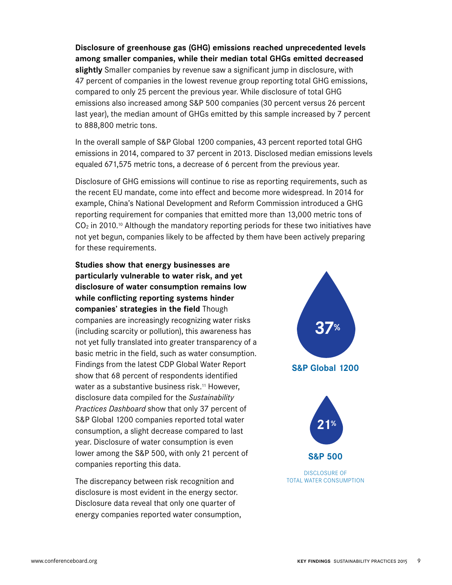**Disclosure of greenhouse gas (GHG) emissions reached unprecedented levels among smaller companies, while their median total GHGs emitted decreased slightly** Smaller companies by revenue saw a significant jump in disclosure, with 47 percent of companies in the lowest revenue group reporting total GHG emissions, compared to only 25 percent the previous year. While disclosure of total GHG emissions also increased among S&P 500 companies (30 percent versus 26 percent last year), the median amount of GHGs emitted by this sample increased by 7 percent to 888,800 metric tons.

In the overall sample of S&P Global 1200 companies, 43 percent reported total GHG emissions in 2014, compared to 37 percent in 2013. Disclosed median emissions levels equaled 671,575 metric tons, a decrease of 6 percent from the previous year.

Disclosure of GHG emissions will continue to rise as reporting requirements, such as the recent EU mandate, come into effect and become more widespread. In 2014 for example, China's National Development and Reform Commission introduced a GHG reporting requirement for companies that emitted more than 13,000 metric tons of  $CO<sub>2</sub>$  in 2010.<sup>10</sup> Although the mandatory reporting periods for these two initiatives have not yet begun, companies likely to be affected by them have been actively preparing for these requirements.

**Studies show that energy businesses are particularly vulnerable to water risk, and yet disclosure of water consumption remains low while conflicting reporting systems hinder companies' strategies in the field** Though companies are increasingly recognizing water risks (including scarcity or pollution), this awareness has not yet fully translated into greater transparency of a basic metric in the field, such as water consumption. Findings from the latest CDP Global Water Report show that 68 percent of respondents identified water as a substantive business risk.<sup>11</sup> However, disclosure data compiled for the *Sustainability Practices Dashboard* show that only 37 percent of S&P Global 1200 companies reported total water consumption, a slight decrease compared to last year. Disclosure of water consumption is even lower among the S&P 500, with only 21 percent of companies reporting this data.

The discrepancy between risk recognition and disclosure is most evident in the energy sector. Disclosure data reveal that only one quarter of energy companies reported water consumption,

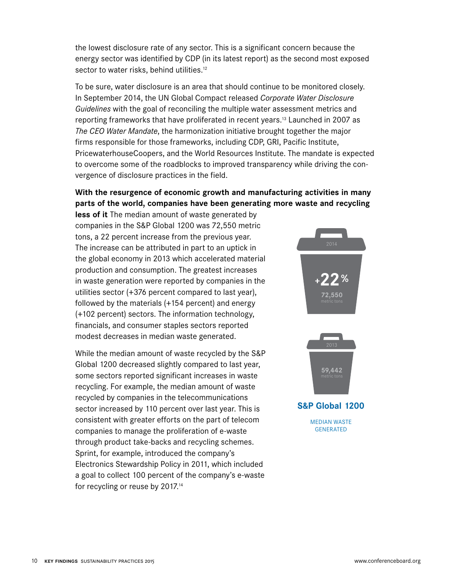the lowest disclosure rate of any sector. This is a significant concern because the energy sector was identified by CDP (in its latest report) as the second most exposed sector to water risks, behind utilities.<sup>12</sup>

To be sure, water disclosure is an area that should continue to be monitored closely. In September 2014, the UN Global Compact released *Corporate Water Disclosure Guidelines* with the goal of reconciling the multiple water assessment metrics and reporting frameworks that have proliferated in recent years.13 Launched in 2007 as *The CEO Water Mandate*, the harmonization initiative brought together the major firms responsible for those frameworks, including CDP, GRI, Pacific Institute, PricewaterhouseCoopers, and the World Resources Institute. The mandate is expected to overcome some of the roadblocks to improved transparency while driving the convergence of disclosure practices in the field.

# **With the resurgence of economic growth and manufacturing activities in many parts of the world, companies have been generating more waste and recycling**

**less of it** The median amount of waste generated by companies in the S&P Global 1200 was 72,550 metric tons, a 22 percent increase from the previous year. The increase can be attributed in part to an uptick in the global economy in 2013 which accelerated material production and consumption. The greatest increases in waste generation were reported by companies in the utilities sector (+376 percent compared to last year), followed by the materials (+154 percent) and energy (+102 percent) sectors. The information technology, financials, and consumer staples sectors reported modest decreases in median waste generated.

While the median amount of waste recycled by the S&P Global 1200 decreased slightly compared to last year, some sectors reported significant increases in waste recycling. For example, the median amount of waste recycled by companies in the telecommunications sector increased by 110 percent over last year. This is consistent with greater efforts on the part of telecom companies to manage the proliferation of e-waste through product take-backs and recycling schemes. Sprint, for example, introduced the company's Electronics Stewardship Policy in 2011, which included a goal to collect 100 percent of the company's e-waste for recycling or reuse by 2017.14

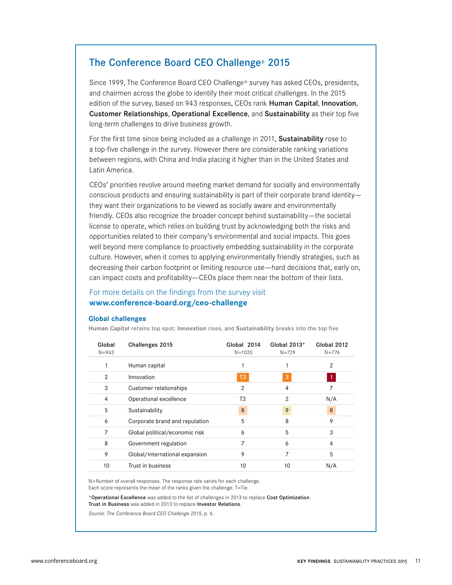# The Conference Board CEO Challenge® 2015

Since 1999, The Conference Board CEO Challenge® survey has asked CEOs, presidents, and chairmen across the globe to identify their most critical challenges. In the 2015 edition of the survey, based on 943 responses, CEOs rank Human Capital, Innovation, Customer Relationships, Operational Excellence, and Sustainability as their top five long-term challenges to drive business growth.

For the first time since being included as a challenge in 2011, **Sustainability** rose to a top-five challenge in the survey. However there are considerable ranking variations between regions, with China and India placing it higher than in the United States and Latin America.

CEOs' priorities revolve around meeting market demand for socially and environmentally conscious products and ensuring sustainability is part of their corporate brand identity they want their organizations to be viewed as socially aware and environmentally friendly. CEOs also recognize the broader concept behind sustainability—the societal license to operate, which relies on building trust by acknowledging both the risks and opportunities related to their company's environmental and social impacts. This goes well beyond mere compliance to proactively embedding sustainability in the corporate culture. However, when it comes to applying environmentally friendly strategies, such as decreasing their carbon footprint or limiting resource use—hard decisions that, early on, can impact costs and profitability—CEOs place them near the bottom of their lists.

### For more details on the findings from the survey visit **www.conference-board.org/ceo-challenge**

#### **Global challenges**

Human Capital retains top spot; Innovation rises, and Sustainability breaks into the top five

| Global<br>$N = 943$ | Challenges 2015                | Global 2014<br>$N = 1020$ | Global 2013*<br>$N = 729$ | Global 2012<br>$N = 776$ |
|---------------------|--------------------------------|---------------------------|---------------------------|--------------------------|
|                     | Human capital                  |                           |                           | 2                        |
| 2                   | Innovation                     | T <sub>3</sub>            | 3                         | V).                      |
| 3                   | Customer relationships         | 2                         | 4                         | 7                        |
| 4                   | Operational excellence         | T3                        | 2                         | N/A                      |
| 5                   | Sustainability                 | 8                         | 9                         | 8                        |
| 6                   | Corporate brand and reputation | 5                         | 8                         | 9                        |
| 7                   | Global political/economic risk | 6                         | 5                         | 3                        |
| 8                   | Government regulation          | 7                         | 6                         | 4                        |
| 9                   | Global/international expansion | 9                         | 7                         | 5                        |
| 10                  | Trust in business              | 10                        | 10                        | N/A                      |

N=Number of overall responses. The response rate varies for each challenge. Each score represents the mean of the ranks given the challenge. T=Tie.

\*Operational Excellence was added to the list of challenges in 2013 to replace Cost Optimization. Trust in Business was added in 2013 to replace Investor Relations.

*Source: The Conference Board CEO Challenge 2015*, p. 6.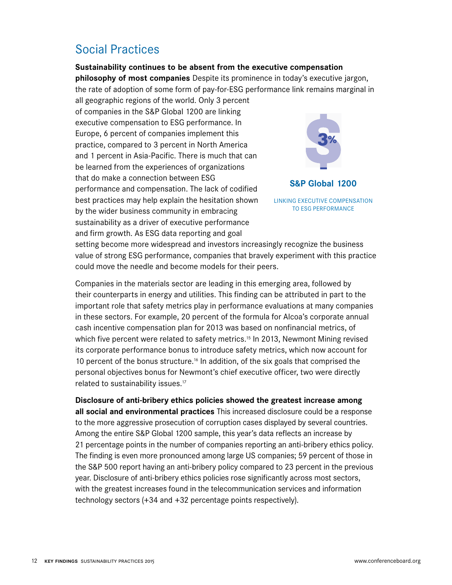# Social Practices

### **Sustainability continues to be absent from the executive compensation**

**philosophy of most companies** Despite its prominence in today's executive jargon, the rate of adoption of some form of pay-for-ESG performance link remains marginal in

all geographic regions of the world. Only 3 percent of companies in the S&P Global 1200 are linking executive compensation to ESG performance. In Europe, 6 percent of companies implement this practice, compared to 3 percent in North America and 1 percent in Asia-Pacific. There is much that can be learned from the experiences of organizations that do make a connection between ESG performance and compensation. The lack of codified best practices may help explain the hesitation shown by the wider business community in embracing sustainability as a driver of executive performance and firm growth. As ESG data reporting and goal



LINKING EXECUTIVE COMPENSATION TO ESG PERFORMANCE

setting become more widespread and investors increasingly recognize the business value of strong ESG performance, companies that bravely experiment with this practice could move the needle and become models for their peers.

Companies in the materials sector are leading in this emerging area, followed by their counterparts in energy and utilities. This finding can be attributed in part to the important role that safety metrics play in performance evaluations at many companies in these sectors. For example, 20 percent of the formula for Alcoa's corporate annual cash incentive compensation plan for 2013 was based on nonfinancial metrics, of which five percent were related to safety metrics.<sup>15</sup> In 2013, Newmont Mining revised its corporate performance bonus to introduce safety metrics, which now account for 10 percent of the bonus structure.<sup>16</sup> In addition, of the six goals that comprised the personal objectives bonus for Newmont's chief executive officer, two were directly related to sustainability issues.<sup>17</sup>

# **Disclosure of anti-bribery ethics policies showed the greatest increase among**

**all social and environmental practices** This increased disclosure could be a response to the more aggressive prosecution of corruption cases displayed by several countries. Among the entire S&P Global 1200 sample, this year's data reflects an increase by 21 percentage points in the number of companies reporting an anti-bribery ethics policy. The finding is even more pronounced among large US companies; 59 percent of those in the S&P 500 report having an anti-bribery policy compared to 23 percent in the previous year. Disclosure of anti-bribery ethics policies rose significantly across most sectors, with the greatest increases found in the telecommunication services and information technology sectors (+34 and +32 percentage points respectively).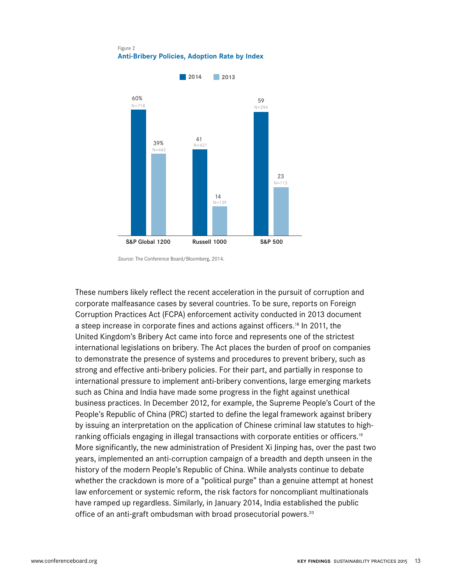Figure 2 **Anti-Bribery Policies, Adoption Rate by Index**



*Source*: The Conference Board/Bloomberg, 2014.

These numbers likely reflect the recent acceleration in the pursuit of corruption and corporate malfeasance cases by several countries. To be sure, reports on Foreign Corruption Practices Act (FCPA) enforcement activity conducted in 2013 document a steep increase in corporate fines and actions against officers.<sup>18</sup> In 2011, the United Kingdom's Bribery Act came into force and represents one of the strictest international legislations on bribery. The Act places the burden of proof on companies to demonstrate the presence of systems and procedures to prevent bribery, such as strong and effective anti-bribery policies. For their part, and partially in response to international pressure to implement anti-bribery conventions, large emerging markets such as China and India have made some progress in the fight against unethical business practices. In December 2012, for example, the Supreme People's Court of the People's Republic of China (PRC) started to define the legal framework against bribery by issuing an interpretation on the application of Chinese criminal law statutes to highranking officials engaging in illegal transactions with corporate entities or officers.19 More significantly, the new administration of President Xi Jinping has, over the past two years, implemented an anti-corruption campaign of a breadth and depth unseen in the history of the modern People's Republic of China. While analysts continue to debate whether the crackdown is more of a "political purge" than a genuine attempt at honest law enforcement or systemic reform, the risk factors for noncompliant multinationals have ramped up regardless. Similarly, in January 2014, India established the public office of an anti-graft ombudsman with broad prosecutorial powers.<sup>20</sup>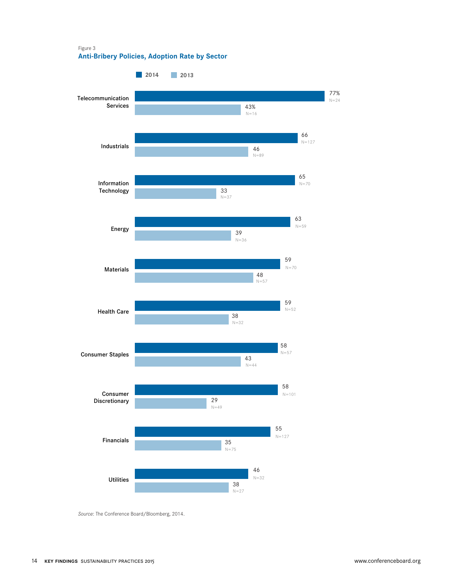Figure 3 **Anti-Bribery Policies, Adoption Rate by Sector**



*Source*: The Conference Board/Bloomberg, 2014.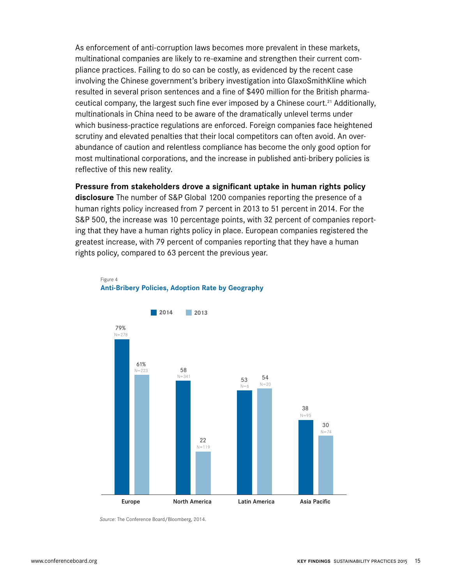As enforcement of anti-corruption laws becomes more prevalent in these markets, multinational companies are likely to re-examine and strengthen their current compliance practices. Failing to do so can be costly, as evidenced by the recent case involving the Chinese government's bribery investigation into GlaxoSmithKline which resulted in several prison sentences and a fine of \$490 million for the British pharmaceutical company, the largest such fine ever imposed by a Chinese court.<sup>21</sup> Additionally, multinationals in China need to be aware of the dramatically unlevel terms under which business-practice regulations are enforced. Foreign companies face heightened scrutiny and elevated penalties that their local competitors can often avoid. An overabundance of caution and relentless compliance has become the only good option for most multinational corporations, and the increase in published anti-bribery policies is reflective of this new reality.

**Pressure from stakeholders drove a significant uptake in human rights policy** 

**disclosure** The number of S&P Global 1200 companies reporting the presence of a human rights policy increased from 7 percent in 2013 to 51 percent in 2014. For the S&P 500, the increase was 10 percentage points, with 32 percent of companies reporting that they have a human rights policy in place. European companies registered the greatest increase, with 79 percent of companies reporting that they have a human rights policy, compared to 63 percent the previous year.



#### Figure 4 **Anti-Bribery Policies, Adoption Rate by Geography**

*Source*: The Conference Board/Bloomberg, 2014.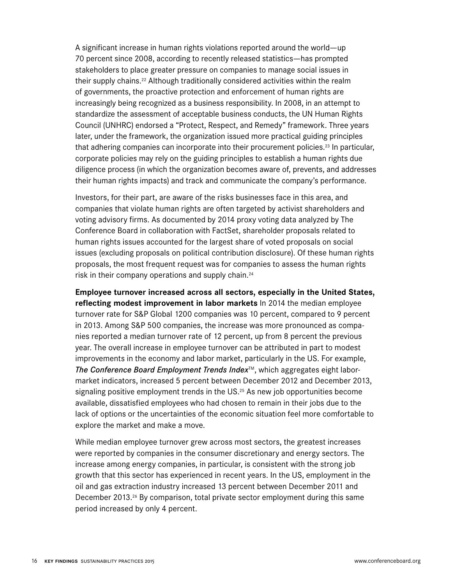A significant increase in human rights violations reported around the world—up 70 percent since 2008, according to recently released statistics—has prompted stakeholders to place greater pressure on companies to manage social issues in their supply chains.<sup>22</sup> Although traditionally considered activities within the realm of governments, the proactive protection and enforcement of human rights are increasingly being recognized as a business responsibility. In 2008, in an attempt to standardize the assessment of acceptable business conducts, the UN Human Rights Council (UNHRC) endorsed a "Protect, Respect, and Remedy" framework. Three years later, under the framework, the organization issued more practical guiding principles that adhering companies can incorporate into their procurement policies.<sup>23</sup> In particular, corporate policies may rely on the guiding principles to establish a human rights due diligence process (in which the organization becomes aware of, prevents, and addresses their human rights impacts) and track and communicate the company's performance.

Investors, for their part, are aware of the risks businesses face in this area, and companies that violate human rights are often targeted by activist shareholders and voting advisory firms. As documented by 2014 proxy voting data analyzed by The Conference Board in collaboration with FactSet, shareholder proposals related to human rights issues accounted for the largest share of voted proposals on social issues (excluding proposals on political contribution disclosure). Of these human rights proposals, the most frequent request was for companies to assess the human rights risk in their company operations and supply chain.24

**Employee turnover increased across all sectors, especially in the United States, reflecting modest improvement in labor markets** In 2014 the median employee turnover rate for S&P Global 1200 companies was 10 percent, compared to 9 percent in 2013. Among S&P 500 companies, the increase was more pronounced as companies reported a median turnover rate of 12 percent, up from 8 percent the previous year. The overall increase in employee turnover can be attributed in part to modest improvements in the economy and labor market, particularly in the US. For example, *The Conference Board Employment Trends Index*™, which aggregates eight labormarket indicators, increased 5 percent between December 2012 and December 2013, signaling positive employment trends in the  $US<sup>25</sup>$  As new job opportunities become available, dissatisfied employees who had chosen to remain in their jobs due to the lack of options or the uncertainties of the economic situation feel more comfortable to explore the market and make a move.

While median employee turnover grew across most sectors, the greatest increases were reported by companies in the consumer discretionary and energy sectors. The increase among energy companies, in particular, is consistent with the strong job growth that this sector has experienced in recent years. In the US, employment in the oil and gas extraction industry increased 13 percent between December 2011 and December 2013.<sup>26</sup> By comparison, total private sector employment during this same period increased by only 4 percent.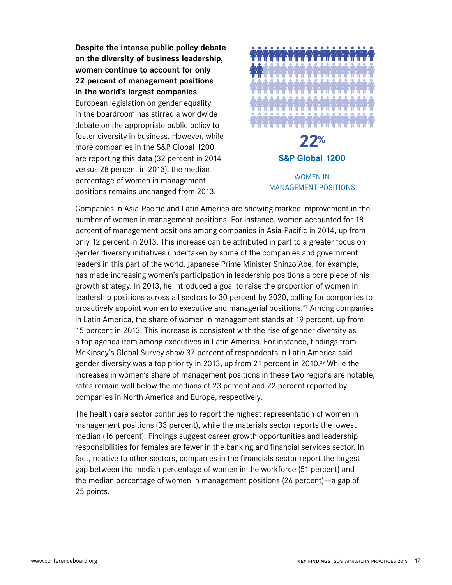**Despite the intense public policy debate on the diversity of business leadership, women continue to account for only 22 percent of management positions in the world's largest companies**  European legislation on gender equality in the boardroom has stirred a worldwide debate on the appropriate public policy to foster diversity in business. However, while more companies in the S&P Global 1200 are reporting this data (32 percent in 2014 versus 28 percent in 2013), the median percentage of women in management positions remains unchanged from 2013.



# **22% S&P Global 1200** WOMEN IN

# MANAGEMENT POSITIONS

Companies in Asia-Pacific and Latin America are showing marked improvement in the number of women in management positions. For instance, women accounted for 18 percent of management positions among companies in Asia-Pacific in 2014, up from only 12 percent in 2013. This increase can be attributed in part to a greater focus on gender diversity initiatives undertaken by some of the companies and government leaders in this part of the world. Japanese Prime Minister Shinzo Abe, for example, has made increasing women's participation in leadership positions a core piece of his growth strategy. In 2013, he introduced a goal to raise the proportion of women in leadership positions across all sectors to 30 percent by 2020, calling for companies to proactively appoint women to executive and managerial positions.27 Among companies in Latin America, the share of women in management stands at 19 percent, up from 15 percent in 2013. This increase is consistent with the rise of gender diversity as a top agenda item among executives in Latin America. For instance, findings from McKinsey's Global Survey show 37 percent of respondents in Latin America said gender diversity was a top priority in 2013, up from 21 percent in 2010.<sup>28</sup> While the increases in women's share of management positions in these two regions are notable, rates remain well below the medians of 23 percent and 22 percent reported by companies in North America and Europe, respectively.

The health care sector continues to report the highest representation of women in management positions (33 percent), while the materials sector reports the lowest median (16 percent). Findings suggest career growth opportunities and leadership responsibilities for females are fewer in the banking and financial services sector. In fact, relative to other sectors, companies in the financials sector report the largest gap between the median percentage of women in the workforce (51 percent) and the median percentage of women in management positions (26 percent)—a gap of 25 points.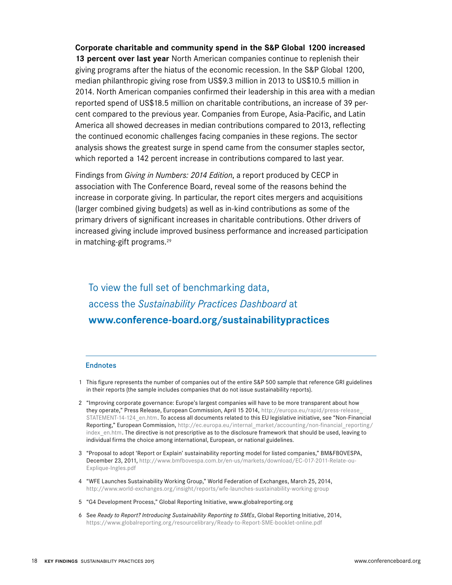**Corporate charitable and community spend in the S&P Global 1200 increased 13 percent over last year** North American companies continue to replenish their giving programs after the hiatus of the economic recession. In the S&P Global 1200, median philanthropic giving rose from US\$9.3 million in 2013 to US\$10.5 million in 2014. North American companies confirmed their leadership in this area with a median reported spend of US\$18.5 million on charitable contributions, an increase of 39 percent compared to the previous year. Companies from Europe, Asia-Pacific, and Latin America all showed decreases in median contributions compared to 2013, reflecting the continued economic challenges facing companies in these regions. The sector analysis shows the greatest surge in spend came from the consumer staples sector, which reported a 142 percent increase in contributions compared to last year.

Findings from *Giving in Numbers: 2014 Edition*, a report produced by CECP in association with The Conference Board, reveal some of the reasons behind the increase in corporate giving. In particular, the report cites mergers and acquisitions (larger combined giving budgets) as well as in-kind contributions as some of the primary drivers of significant increases in charitable contributions. Other drivers of increased giving include improved business performance and increased participation in matching-gift programs.<sup>29</sup>

To view the full set of benchmarking data, access the *Sustainability Practices Dashboard* at **www.conference-board.org/sustainabilitypractices**

### **Endnotes**

- 1 This figure represents the number of companies out of the entire S&P 500 sample that reference GRI guidelines in their reports (the sample includes companies that do not issue sustainability reports).
- 2 "Improving corporate governance: Europe's largest companies will have to be more transparent about how they operate," Press Release, European Commission, April 15 2014, http://europa.eu/rapid/press-release\_ STATEMENT-14-124\_en.htm. To access all documents related to this EU legislative initiative, see "Non-Financial Reporting," European Commission, http://ec.europa.eu/internal\_market/accounting/non-financial\_reporting/ index en.htm. The directive is not prescriptive as to the disclosure framework that should be used, leaving to individual firms the choice among international, European, or national guidelines.
- 3 "Proposal to adopt 'Report or Explain' sustainability reporting model for listed companies," BM&FBOVESPA, December 23, 2011, http://www.bmfbovespa.com.br/en-us/markets/download/EC-017-2011-Relate-ou-Explique-Ingles.pdf
- 4 "WFE Launches Sustainability Working Group," World Federation of Exchanges, March 25, 2014, http://www.world-exchanges.org/insight/reports/wfe-launches-sustainability-working-group
- 5 "G4 Development Process," Global Reporting Initiative, www.globalreporting.org
- 6 See *Ready to Report? Introducing Sustainability Reporting to SMEs*, Global Reporting Initiative, 2014, https://www.globalreporting.org/resourcelibrary/Ready-to-Report-SME-booklet-online.pdf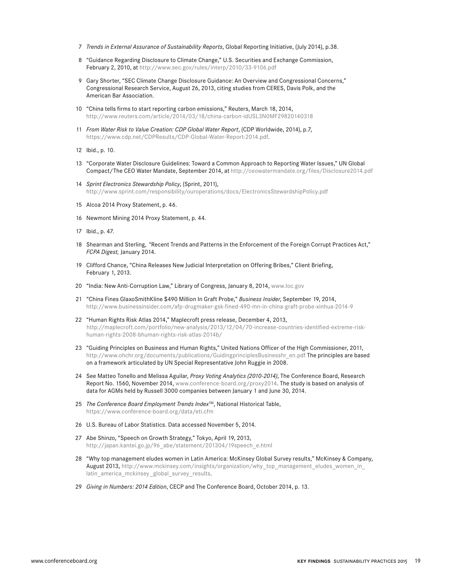- 7 *Trends in External Assurance of Sustainability Reports*, Global Reporting Initiative, (July 2014), p.38.
- 8 "Guidance Regarding Disclosure to Climate Change," U.S. Securities and Exchange Commission, February 2, 2010, at http://www.sec.gov/rules/interp/2010/33-9106.pdf
- 9 Gary Shorter, "SEC Climate Change Disclosure Guidance: An Overview and Congressional Concerns," Congressional Research Service, August 26, 2013, citing studies from CERES, Davis Polk, and the American Bar Association.
- 10 "China tells firms to start reporting carbon emissions," Reuters, March 18, 2014, http://www.reuters.com/article/2014/03/18/china-carbon-idUSL3N0MF29820140318
- 11 *From Water Risk to Value Creation: CDP Global Water Report*, (CDP Worldwide, 2014), p.7, https://www.cdp.net/CDPResults/CDP-Global-Water-Report-2014.pdf.
- 12 Ibid., p. 10.
- 13 "Corporate Water Disclosure Guidelines: Toward a Common Approach to Reporting Water Issues," UN Global Compact/The CEO Water Mandate, September 2014, at http://ceowatermandate.org/files/Disclosure2014.pdf
- 14 *Sprint Electronics Stewardship Policy*, (Sprint, 2011), http://www.sprint.com/responsibility/ouroperations/docs/ElectronicsStewardshipPolicy.pdf
- 15 Alcoa 2014 Proxy Statement, p. 46.
- 16 Newmont Mining 2014 Proxy Statement, p. 44.
- 17 Ibid., p. 47.
- 18 Shearman and Sterling*, "*Recent Trends and Patterns in the Enforcement of the Foreign Corrupt Practices Act," *FCPA Digest,* January 2014.
- 19 Clifford Chance, "China Releases New Judicial Interpretation on Offering Bribes," Client Briefing, February 1, 2013.
- 20 "India: New Anti-Corruption Law," Library of Congress, January 8, 2014, www.loc.gov
- 21 "China Fines GlaxoSmithKline \$490 Million In Graft Probe," *Business Insider*, September 19, 2014, http://www.businessinsider.com/afp-drugmaker-gsk-fined-490-mn-in-china-graft-probe-xinhua-2014-9
- 22 "Human Rights Risk Atlas 2014," Maplecroft press release, December 4, 2013, http://maplecroft.com/portfolio/new-analysis/2013/12/04/70-increase-countries-identified-extreme-riskhuman-rights-2008-bhuman-rights-risk-atlas-2014b/
- 23 "Guiding Principles on Business and Human Rights," United Nations Officer of the High Commissioner, 2011, http://www.ohchr.org/documents/publications/GuidingprinciplesBusinesshr\_en.pdf The principles are based on a framework articulated by UN Special Representative John Ruggie in 2008.
- 24 See Matteo Tonello and Melissa Aguilar, *Proxy Voting Analytics (2010-2014)*, The Conference Board, Research Report No. 1560, November 2014, www.conference-board.org/proxy2014. The study is based on analysis of data for AGMs held by Russell 3000 companies between January 1 and June 30, 2014.
- 25 *The Conference Board Employment Trends Index*TM, National Historical Table, https://www.conference-board.org/data/eti.cfm
- 26 U.S. Bureau of Labor Statistics. Data accessed November 5, 2014.
- 27 Abe Shinzo, "Speech on Growth Strategy," Tokyo, April 19, 2013, http://japan.kantei.go.jp/96\_abe/statement/201304/19speech\_e.html
- 28 "Why top management eludes women in Latin America: McKinsey Global Survey results," McKinsey & Company, August 2013, http://www.mckinsey.com/insights/organization/why\_top\_management\_eludes\_women\_in latin america mckinsey global survey results.
- 29 *Giving in Numbers: 2014 Edition*, CECP and The Conference Board, October 2014, p. 13.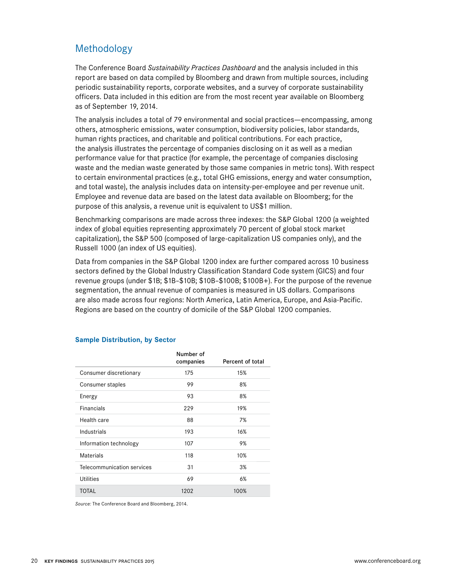# Methodology

The Conference Board *Sustainability Practices Dashboard* and the analysis included in this report are based on data compiled by Bloomberg and drawn from multiple sources, including periodic sustainability reports, corporate websites, and a survey of corporate sustainability officers. Data included in this edition are from the most recent year available on Bloomberg as of September 19, 2014.

The analysis includes a total of 79 environmental and social practices—encompassing, among others, atmospheric emissions, water consumption, biodiversity policies, labor standards, human rights practices, and charitable and political contributions. For each practice, the analysis illustrates the percentage of companies disclosing on it as well as a median performance value for that practice (for example, the percentage of companies disclosing waste and the median waste generated by those same companies in metric tons). With respect to certain environmental practices (e.g., total GHG emissions, energy and water consumption, and total waste), the analysis includes data on intensity-per-employee and per revenue unit. Employee and revenue data are based on the latest data available on Bloomberg; for the purpose of this analysis, a revenue unit is equivalent to US\$1 million.

Benchmarking comparisons are made across three indexes: the S&P Global 1200 (a weighted index of global equities representing approximately 70 percent of global stock market capitalization), the S&P 500 (composed of large-capitalization US companies only), and the Russell 1000 (an index of US equities).

Data from companies in the S&P Global 1200 index are further compared across 10 business sectors defined by the Global Industry Classification Standard Code system (GICS) and four revenue groups (under \$1B; \$1B–\$10B; \$10B–\$100B; \$100B+). For the purpose of the revenue segmentation, the annual revenue of companies is measured in US dollars. Comparisons are also made across four regions: North America, Latin America, Europe, and Asia-Pacific. Regions are based on the country of domicile of the S&P Global 1200 companies.

|                            | Number of<br>companies | Percent of total |
|----------------------------|------------------------|------------------|
| Consumer discretionary     | 175                    | 15%              |
| Consumer staples           | 99                     | 8%               |
| Energy                     | 93                     | 8%               |
| Financials                 | 229                    | 19%              |
| Health care                | 88                     | 7%               |
| Industrials                | 193                    | 16%              |
| Information technology     | 107                    | 9%               |
| Materials                  | 118                    | 10%              |
| Telecommunication services | 31                     | 3%               |
| <b>Utilities</b>           | 69                     | 6%               |
| <b>TOTAL</b>               | 1202                   | 100%             |

### **Sample Distribution, by Sector**

*Source:* The Conference Board and Bloomberg, 2014.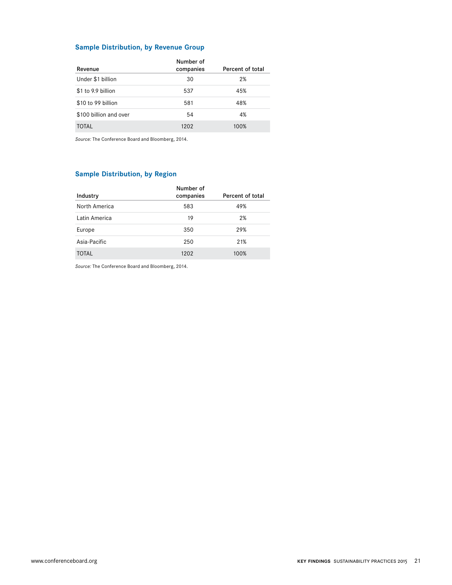### **Sample Distribution, by Revenue Group**

| Revenue                | Number of<br>companies | Percent of total |
|------------------------|------------------------|------------------|
| Under \$1 billion      | 30                     | 2%               |
| \$1 to 9.9 billion     | 537                    | 45%              |
| \$10 to 99 billion     | 581                    | 48%              |
| \$100 billion and over | 54                     | 4%               |
| TOTAL                  | 1202                   | 100%             |

*Source:* The Conference Board and Bloomberg, 2014.

### **Sample Distribution, by Region**

| Industry      | Number of<br>companies | Percent of total |
|---------------|------------------------|------------------|
| North America | 583                    | 49%              |
| Latin America | 19                     | 2%               |
| Europe        | 350                    | 29%              |
| Asia-Pacific  | 250                    | 21%              |
| TOTAL         | 1202                   | 100%             |

*Source:* The Conference Board and Bloomberg, 2014.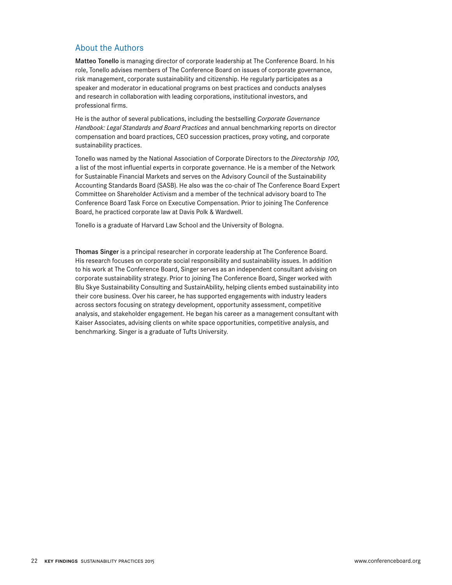### About the Authors

Matteo Tonello is managing director of corporate leadership at The Conference Board. In his role, Tonello advises members of The Conference Board on issues of corporate governance, risk management, corporate sustainability and citizenship. He regularly participates as a speaker and moderator in educational programs on best practices and conducts analyses and research in collaboration with leading corporations, institutional investors, and professional firms.

He is the author of several publications, including the bestselling *Corporate Governance Handbook: Legal Standards and Board Practices* and annual benchmarking reports on director compensation and board practices, CEO succession practices, proxy voting, and corporate sustainability practices.

Tonello was named by the National Association of Corporate Directors to the *Directorship 100*, a list of the most influential experts in corporate governance. He is a member of the Network for Sustainable Financial Markets and serves on the Advisory Council of the Sustainability Accounting Standards Board (SASB). He also was the co-chair of The Conference Board Expert Committee on Shareholder Activism and a member of the technical advisory board to The Conference Board Task Force on Executive Compensation. Prior to joining The Conference Board, he practiced corporate law at Davis Polk & Wardwell.

Tonello is a graduate of Harvard Law School and the University of Bologna.

Thomas Singer is a principal researcher in corporate leadership at The Conference Board. His research focuses on corporate social responsibility and sustainability issues. In addition to his work at The Conference Board, Singer serves as an independent consultant advising on corporate sustainability strategy. Prior to joining The Conference Board, Singer worked with Blu Skye Sustainability Consulting and SustainAbility, helping clients embed sustainability into their core business. Over his career, he has supported engagements with industry leaders across sectors focusing on strategy development, opportunity assessment, competitive analysis, and stakeholder engagement. He began his career as a management consultant with Kaiser Associates, advising clients on white space opportunities, competitive analysis, and benchmarking. Singer is a graduate of Tufts University.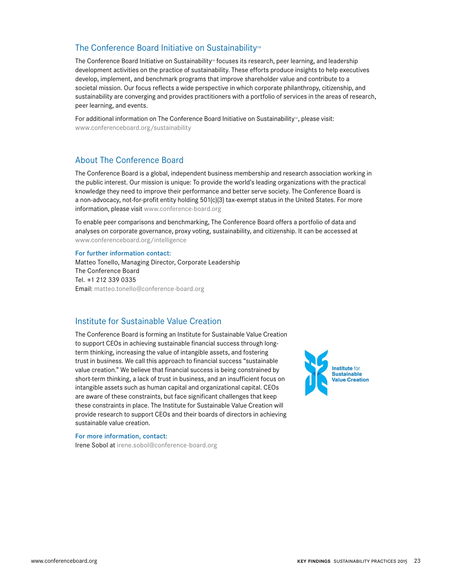### The Conference Board Initiative on Sustainability<sup>™</sup>

The Conference Board Initiative on Sustainability<sup>®</sup> focuses its research, peer learning, and leadership development activities on the practice of sustainability. These efforts produce insights to help executives develop, implement, and benchmark programs that improve shareholder value and contribute to a societal mission. Our focus reflects a wide perspective in which corporate philanthropy, citizenship, and sustainability are converging and provides practitioners with a portfolio of services in the areas of research, peer learning, and events.

For additional information on The Conference Board Initiative on Sustainability<sup>16</sup>, please visit: www.conferenceboard.org/sustainability

# About The Conference Board

The Conference Board is a global, independent business membership and research association working in the public interest. Our mission is unique: To provide the world's leading organizations with the practical knowledge they need to improve their performance and better serve society. The Conference Board is a non-advocacy, not-for-profit entity holding 501(c)(3) tax-exempt status in the United States. For more information, please visit www.conference-board.org

To enable peer comparisons and benchmarking, The Conference Board offers a portfolio of data and analyses on corporate governance, proxy voting, sustainability, and citizenship. It can be accessed at www.conferenceboard.org/intelligence

#### For further information contact:

Matteo Tonello, Managing Director, Corporate Leadership The Conference Board Tel. +1 212 339 0335 Email: matteo.tonello@conference-board.org

### Institute for Sustainable Value Creation

The Conference Board is forming an Institute for Sustainable Value Creation to support CEOs in achieving sustainable financial success through longterm thinking, increasing the value of intangible assets, and fostering trust in business. We call this approach to financial success "sustainable value creation." We believe that financial success is being constrained by short-term thinking, a lack of trust in business, and an insufficient focus on intangible assets such as human capital and organizational capital. CEOs are aware of these constraints, but face significant challenges that keep these constraints in place. The Institute for Sustainable Value Creation will provide research to support CEOs and their boards of directors in achieving sustainable value creation.

For more information, contact: Irene Sobol at irene.sobol@conference-board.org